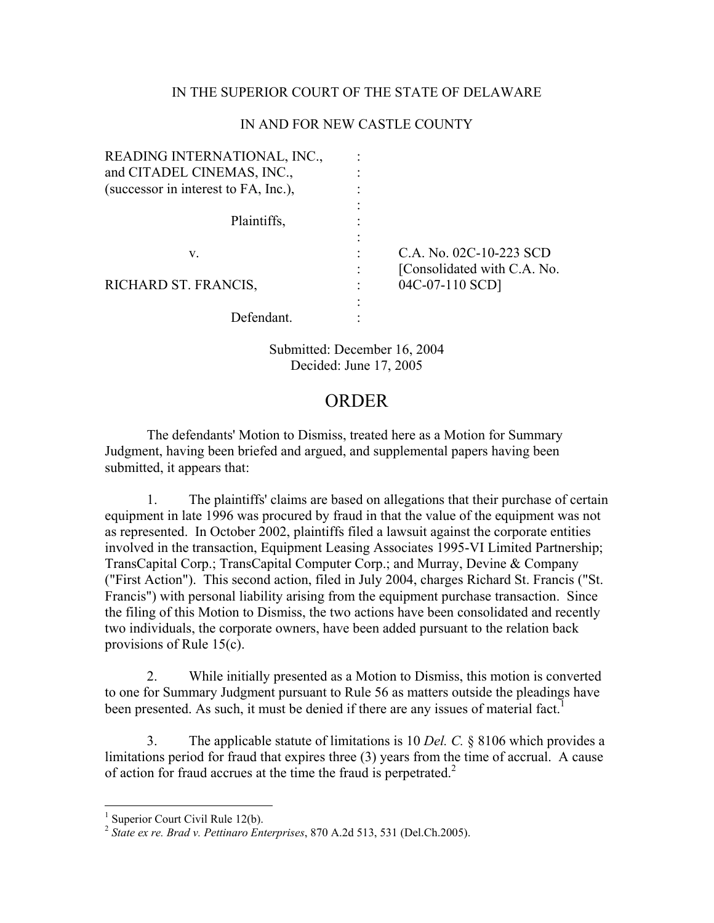## IN THE SUPERIOR COURT OF THE STATE OF DELAWARE

## IN AND FOR NEW CASTLE COUNTY

| READING INTERNATIONAL, INC.,         |                              |
|--------------------------------------|------------------------------|
| and CITADEL CINEMAS, INC.,           |                              |
| (successor in interest to FA, Inc.), |                              |
|                                      |                              |
| Plaintiffs,                          |                              |
|                                      |                              |
| V.                                   | C.A. No. 02C-10-223 SCD      |
|                                      | [Consolidated with C.A. No.] |
| RICHARD ST. FRANCIS,                 | 04C-07-110 SCD]              |
|                                      |                              |
| Defendant.                           |                              |
|                                      |                              |

Submitted: December 16, 2004 Decided: June 17, 2005

## ORDER

 The defendants' Motion to Dismiss, treated here as a Motion for Summary Judgment, having been briefed and argued, and supplemental papers having been submitted, it appears that:

1. The plaintiffs' claims are based on allegations that their purchase of certain equipment in late 1996 was procured by fraud in that the value of the equipment was not as represented. In October 2002, plaintiffs filed a lawsuit against the corporate entities involved in the transaction, Equipment Leasing Associates 1995-VI Limited Partnership; TransCapital Corp.; TransCapital Computer Corp.; and Murray, Devine & Company ("First Action"). This second action, filed in July 2004, charges Richard St. Francis ("St. Francis") with personal liability arising from the equipment purchase transaction. Since the filing of this Motion to Dismiss, the two actions have been consolidated and recently two individuals, the corporate owners, have been added pursuant to the relation back provisions of Rule 15(c).

2. While initially presented as a Motion to Dismiss, this motion is converted to one for Summary Judgment pursuant to Rule 56 as matters outside the pleadings have been presented. As such, it must be denied if there are any issues of material fact.<sup>[1](#page-0-0)</sup>

3. The applicable statute of limitations is 10 *Del. C.* § 8106 which provides a limitations period for fraud that expires three (3) years from the time of accrual. A cause of action for fraud accrues at the time the fraud is perpetrated.<sup>2</sup>

<span id="page-0-0"></span><sup>&</sup>lt;sup>1</sup> Superior Court Civil Rule 12(b).

<span id="page-0-1"></span><sup>2</sup> *State ex re. Brad v. Pettinaro Enterprises*, 870 A.2d 513, 531 (Del.Ch.2005).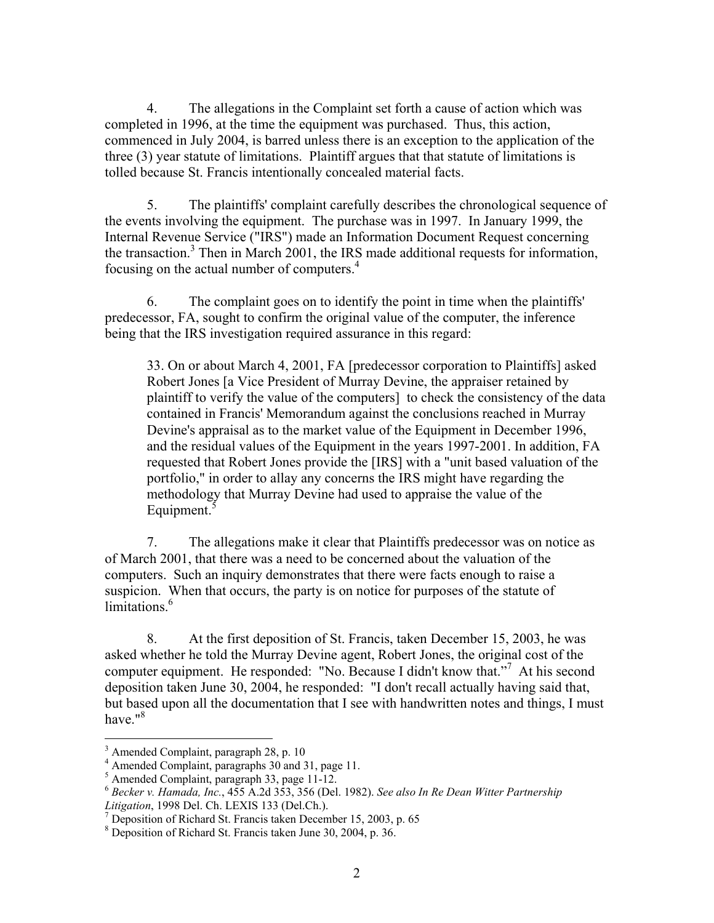4. The allegations in the Complaint set forth a cause of action which was completed in 1996, at the time the equipment was purchased. Thus, this action, commenced in July 2004, is barred unless there is an exception to the application of the three (3) year statute of limitations. Plaintiff argues that that statute of limitations is tolled because St. Francis intentionally concealed material facts.

5. The plaintiffs' complaint carefully describes the chronological sequence of the events involving the equipment. The purchase was in 1997. In January 1999, the Internal Revenue Service ("IRS") made an Information Document Request concerning the transaction.<sup>[3](#page-1-0)</sup> Then in March 2001, the IRS made additional requests for information, focusing on the actual number of computers.<sup>[4](#page-1-1)</sup>

6. The complaint goes on to identify the point in time when the plaintiffs' predecessor, FA, sought to confirm the original value of the computer, the inference being that the IRS investigation required assurance in this regard:

33. On or about March 4, 2001, FA [predecessor corporation to Plaintiffs] asked Robert Jones [a Vice President of Murray Devine, the appraiser retained by plaintiff to verify the value of the computers] to check the consistency of the data contained in Francis' Memorandum against the conclusions reached in Murray Devine's appraisal as to the market value of the Equipment in December 1996, and the residual values of the Equipment in the years 1997-2001. In addition, FA requested that Robert Jones provide the [IRS] with a "unit based valuation of the portfolio," in order to allay any concerns the IRS might have regarding the methodology that Murray Devine had used to appraise the value of the Equipment.<sup>[5](#page-1-2)</sup>

7. The allegations make it clear that Plaintiffs predecessor was on notice as of March 2001, that there was a need to be concerned about the valuation of the computers. Such an inquiry demonstrates that there were facts enough to raise a suspicion. When that occurs, the party is on notice for purposes of the statute of  $limitations<sup>6</sup>$ 

8. At the first deposition of St. Francis, taken December 15, 2003, he was asked whether he told the Murray Devine agent, Robert Jones, the original cost of the computerequipment. He responded: "No. Because I didn't know that."<sup>7</sup> At his second deposition taken June 30, 2004, he responded: "I don't recall actually having said that, but based upon all the documentation that I see with handwritten notes and things, I must have."<sup>[8](#page-1-5)</sup>

 $\frac{1}{3}$  $3$  Amended Complaint, paragraph 28, p. 10

<span id="page-1-1"></span><span id="page-1-0"></span><sup>&</sup>lt;sup>4</sup> Amended Complaint, paragraphs  $30$  and  $31$ , page  $11$ .<br><sup>5</sup> Amended Complaint, paragraph  $33$ , page  $11$ -12.

<span id="page-1-2"></span>

<span id="page-1-3"></span><sup>&</sup>lt;sup>6</sup> Becker v. Hamada, Inc., 455 A.2d 353, 356 (Del. 1982). *See also In Re Dean Witter Partnership* Litigation, 1998 Del. Ch. LEXIS 133 (Del.Ch.).

<span id="page-1-4"></span><sup>&</sup>lt;sup>7</sup> Deposition of Richard St. Francis taken December 15, 2003, p. 65

<span id="page-1-5"></span>Deposition of Richard St. Francis taken June 30, 2004, p. 36.